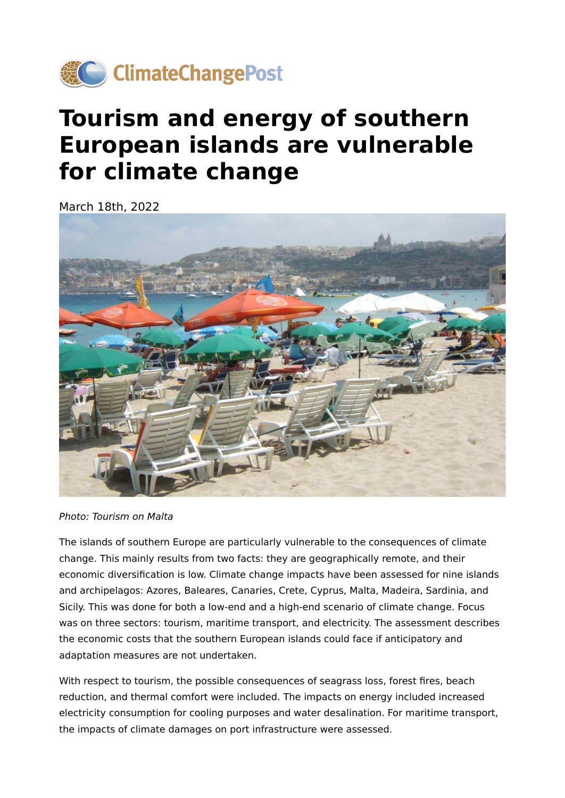

## **Tourism and energy of southern European islands are vulnerable for climate change**

March 18th, 2022



Photo: Tourism on Malta

The islands of southern Europe are particularly vulnerable to the consequences of climate change. This mainly results from two facts: they are geographically remote, and their economic diversification is low. Climate change impacts have been assessed for nine islands and archipelagos: Azores, Baleares, Canaries, Crete, Cyprus, Malta, Madeira, Sardinia, and Sicily. This was done for both a low-end and a high-end scenario of climate change. Focus was on three sectors: tourism, maritime transport, and electricity. The assessment describes the economic costs that the southern European islands could face if anticipatory and adaptation measures are not undertaken.

With respect to tourism, the possible consequences of seagrass loss, forest fires, beach reduction, and thermal comfort were included. The impacts on energy included increased electricity consumption for cooling purposes and water desalination. For maritime transport, the impacts of climate damages on port infrastructure were assessed.